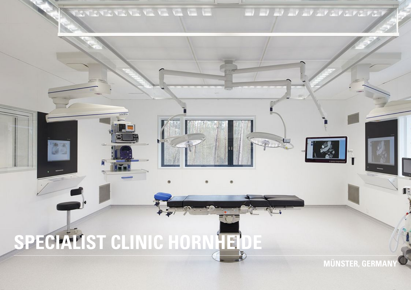#### **AND AND AND ARRESTS (** my.

# **SPECIALIST CLINIC HORNHEID**

**MÜNSTER, GERMANY**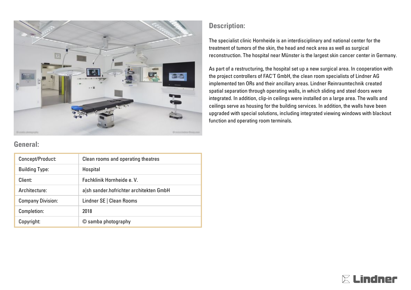

### **General:**

| Concept/Product:         | Clean rooms and operating theatres     |
|--------------------------|----------------------------------------|
| <b>Building Type:</b>    | Hospital                               |
| Client:                  | Fachklinik Hornheide e.V.              |
| Architecture:            | ash sander.hofrichter architekten GmbH |
| <b>Company Division:</b> | Lindner SE   Clean Rooms               |
| Completion:              | 2018                                   |
| Copyright:               | $\odot$ samba photography              |

## **Description:**

The specialist clinic Hornheide is an interdisciplinary and national center for the treatment of tumors of the skin, the head and neck area as well as surgical reconstruction. The hospital near Münster is the largest skin cancer center in Germany.

As part of a restructuring, the hospital set up a new surgical area. In cooperation with the project controllers of FAC'T GmbH, the clean room specialists of Lindner AG implemented ten ORs and their ancillary areas. Lindner Reinraumtechnik created spatial separation through operating walls, in which sliding and steel doors were integrated. In addition, clip-in ceilings were installed on a large area. The walls and ceilings serve as housing for the building services. In addition, the walls have been upgraded with special solutions, including integrated viewing windows with blackout function and operating room terminals.

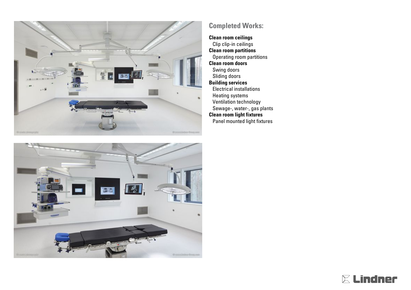



# **Completed Works:**

**Clean room ceilings** Clip clip-in ceilings **Clean room partitions** Operating room partitions **Clean room doors** Swing doors Sliding doors **Building services** Electrical installations Heating systems Ventilation technology Sewage-, water-, gas plants **Clean room light fixtures** Panel mounted light fixtures

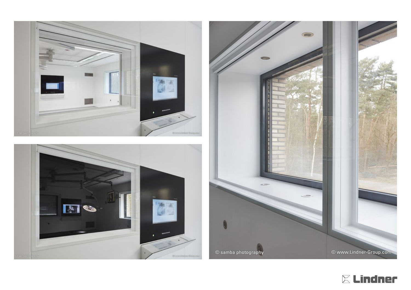





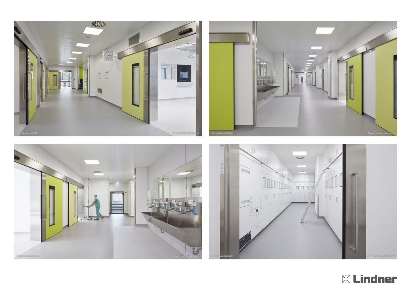